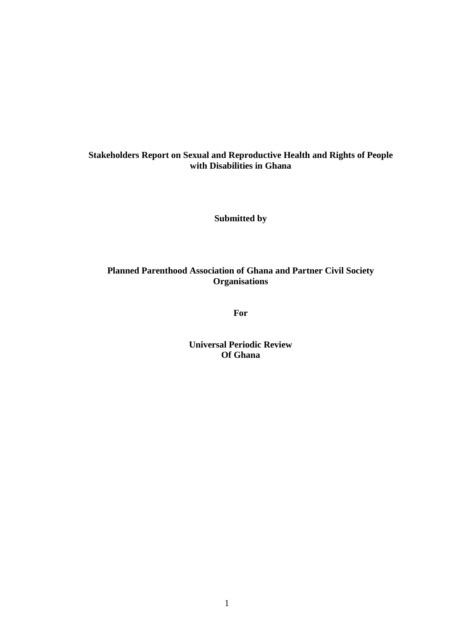# **Stakeholders Report on Sexual and Reproductive Health and Rights of People with Disabilities in Ghana**

**Submitted by**

# **Planned Parenthood Association of Ghana and Partner Civil Society Organisations**

**For**

**Universal Periodic Review Of Ghana**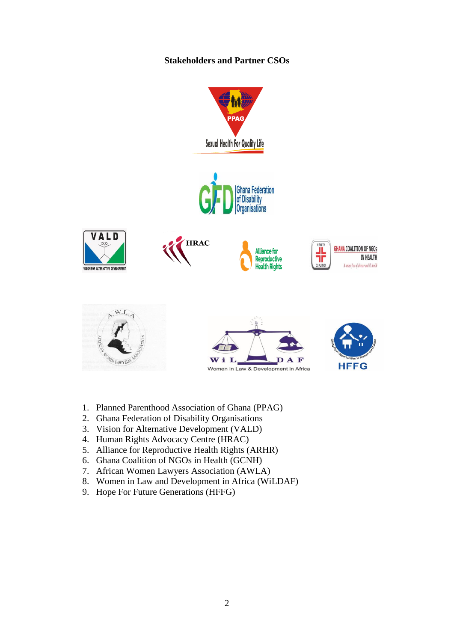# **Stakeholders and Partner CSOs**



- 1. Planned Parenthood Association of Ghana (PPAG)
- 2. Ghana Federation of Disability Organisations
- 3. Vision for Alternative Development (VALD)
- 4. Human Rights Advocacy Centre (HRAC)
- 5. Alliance for Reproductive Health Rights (ARHR)
- 6. Ghana Coalition of NGOs in Health (GCNH)
- 7. African Women Lawyers Association (AWLA)
- 8. Women in Law and Development in Africa (WiLDAF)
- 9. Hope For Future Generations (HFFG)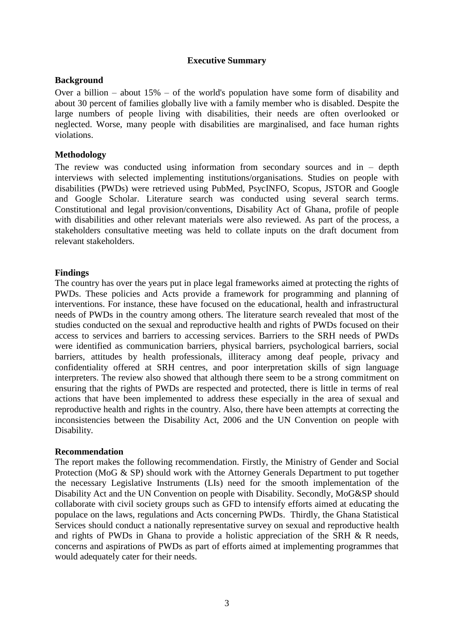### **Executive Summary**

### **Background**

Over a billion – about  $15\%$  – of the world's population have some form of disability and about 30 percent of families globally live with a family member who is disabled. Despite the large numbers of people living with disabilities, their needs are often overlooked or neglected. Worse, many people with disabilities are marginalised, and face human rights violations.

### **Methodology**

The review was conducted using information from secondary sources and in  $-$  depth interviews with selected implementing institutions/organisations. Studies on people with disabilities (PWDs) were retrieved using PubMed, PsycINFO, Scopus, JSTOR and Google and Google Scholar. Literature search was conducted using several search terms. Constitutional and legal provision/conventions, Disability Act of Ghana, profile of people with disabilities and other relevant materials were also reviewed. As part of the process, a stakeholders consultative meeting was held to collate inputs on the draft document from relevant stakeholders.

### **Findings**

The country has over the years put in place legal frameworks aimed at protecting the rights of PWDs. These policies and Acts provide a framework for programming and planning of interventions. For instance, these have focused on the educational, health and infrastructural needs of PWDs in the country among others. The literature search revealed that most of the studies conducted on the sexual and reproductive health and rights of PWDs focused on their access to services and barriers to accessing services. Barriers to the SRH needs of PWDs were identified as communication barriers, physical barriers, psychological barriers, social barriers, attitudes by health professionals, illiteracy among deaf people, privacy and confidentiality offered at SRH centres, and poor interpretation skills of sign language interpreters. The review also showed that although there seem to be a strong commitment on ensuring that the rights of PWDs are respected and protected, there is little in terms of real actions that have been implemented to address these especially in the area of sexual and reproductive health and rights in the country. Also, there have been attempts at correcting the inconsistencies between the Disability Act, 2006 and the UN Convention on people with Disability.

### **Recommendation**

The report makes the following recommendation. Firstly, the Ministry of Gender and Social Protection (MoG & SP) should work with the Attorney Generals Department to put together the necessary Legislative Instruments (LIs) need for the smooth implementation of the Disability Act and the UN Convention on people with Disability. Secondly, MoG&SP should collaborate with civil society groups such as GFD to intensify efforts aimed at educating the populace on the laws, regulations and Acts concerning PWDs. Thirdly, the Ghana Statistical Services should conduct a nationally representative survey on sexual and reproductive health and rights of PWDs in Ghana to provide a holistic appreciation of the SRH & R needs, concerns and aspirations of PWDs as part of efforts aimed at implementing programmes that would adequately cater for their needs.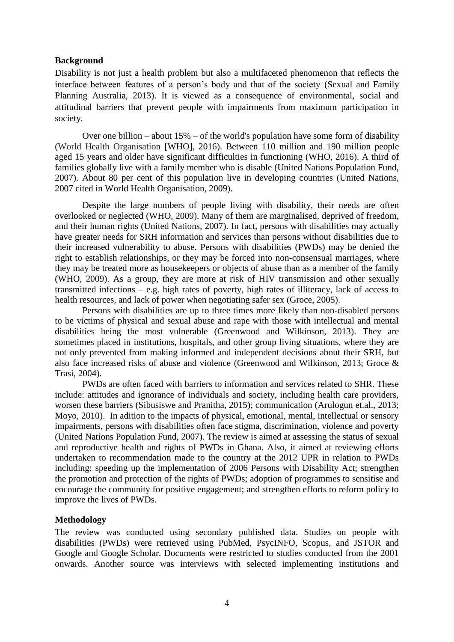#### **Background**

Disability is not just a health problem but also a multifaceted phenomenon that reflects the interface between features of a person's body and that of the society (Sexual and Family Planning Australia, 2013). It is viewed as a consequence of environmental, social and attitudinal barriers that prevent people with impairments from maximum participation in society.

Over one billion – about  $15%$  – of the world's population have some form of disability (World Health Organisation [WHO], 2016). Between 110 million and 190 million people aged 15 years and older have significant difficulties in functioning (WHO, 2016). A third of families globally live with a family member who is disable (United Nations Population Fund, 2007). About 80 per cent of this population live in developing countries (United Nations, 2007 cited in World Health Organisation, 2009).

Despite the large numbers of people living with disability, their needs are often overlooked or neglected (WHO, 2009). Many of them are marginalised, deprived of freedom, and their human rights (United Nations, 2007). In fact, persons with disabilities may actually have greater needs for SRH information and services than persons without disabilities due to their increased vulnerability to abuse. Persons with disabilities (PWDs) may be denied the right to establish relationships, or they may be forced into non-consensual marriages, where they may be treated more as housekeepers or objects of abuse than as a member of the family (WHO, 2009). As a group, they are more at risk of HIV transmission and other sexually transmitted infections – e.g. high rates of poverty, high rates of illiteracy, lack of access to health resources, and lack of power when negotiating safer sex (Groce, 2005).

Persons with disabilities are up to three times more likely than non-disabled persons to be victims of physical and sexual abuse and rape with those with intellectual and mental disabilities being the most vulnerable (Greenwood and Wilkinson, 2013). They are sometimes placed in institutions, hospitals, and other group living situations, where they are not only prevented from making informed and independent decisions about their SRH, but also face increased risks of abuse and violence (Greenwood and Wilkinson, 2013; Groce & Trasi, 2004).

PWDs are often faced with barriers to information and services related to SHR. These include: attitudes and ignorance of individuals and society, including health care providers, worsen these barriers (Sibusiswe and Pranitha, 2015); communication (Arulogun et.al., 2013; Moyo, 2010). In adition to the impacts of physical, emotional, mental, intellectual or sensory impairments, persons with disabilities often face stigma, discrimination, violence and poverty (United Nations Population Fund, 2007). The review is aimed at assessing the status of sexual and reproductive health and rights of PWDs in Ghana. Also, it aimed at reviewing efforts undertaken to recommendation made to the country at the 2012 UPR in relation to PWDs including: speeding up the implementation of 2006 Persons with Disability Act; strengthen the promotion and protection of the rights of PWDs; adoption of programmes to sensitise and encourage the community for positive engagement; and strengthen efforts to reform policy to improve the lives of PWDs.

#### **Methodology**

The review was conducted using secondary published data. Studies on people with disabilities (PWDs) were retrieved using PubMed, PsycINFO, Scopus, and JSTOR and Google and Google Scholar. Documents were restricted to studies conducted from the 2001 onwards. Another source was interviews with selected implementing institutions and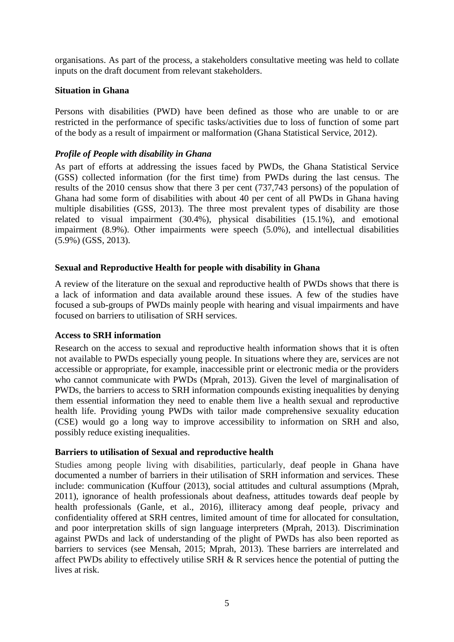organisations. As part of the process, a stakeholders consultative meeting was held to collate inputs on the draft document from relevant stakeholders.

# **Situation in Ghana**

Persons with disabilities (PWD) have been defined as those who are unable to or are restricted in the performance of specific tasks/activities due to loss of function of some part of the body as a result of impairment or malformation (Ghana Statistical Service, 2012).

# *Profile of People with disability in Ghana*

As part of efforts at addressing the issues faced by PWDs, the Ghana Statistical Service (GSS) collected information (for the first time) from PWDs during the last census. The results of the 2010 census show that there 3 per cent (737,743 persons) of the population of Ghana had some form of disabilities with about 40 per cent of all PWDs in Ghana having multiple disabilities (GSS, 2013). The three most prevalent types of disability are those related to visual impairment (30.4%), physical disabilities (15.1%), and emotional impairment (8.9%). Other impairments were speech (5.0%), and intellectual disabilities (5.9%) (GSS, 2013).

# **Sexual and Reproductive Health for people with disability in Ghana**

A review of the literature on the sexual and reproductive health of PWDs shows that there is a lack of information and data available around these issues. A few of the studies have focused a sub-groups of PWDs mainly people with hearing and visual impairments and have focused on barriers to utilisation of SRH services.

### **Access to SRH information**

Research on the access to sexual and reproductive health information shows that it is often not available to PWDs especially young people. In situations where they are, services are not accessible or appropriate, for example, inaccessible print or electronic media or the providers who cannot communicate with PWDs (Mprah, 2013). Given the level of marginalisation of PWDs, the barriers to access to SRH information compounds existing inequalities by denying them essential information they need to enable them live a health sexual and reproductive health life. Providing young PWDs with tailor made comprehensive sexuality education (CSE) would go a long way to improve accessibility to information on SRH and also, possibly reduce existing inequalities.

# **Barriers to utilisation of Sexual and reproductive health**

Studies among people living with disabilities, particularly, deaf people in Ghana have documented a number of barriers in their utilisation of SRH information and services. These include: communication (Kuffour (2013), social attitudes and cultural assumptions (Mprah, 2011), ignorance of health professionals about deafness, attitudes towards deaf people by health professionals (Ganle, et al., 2016), illiteracy among deaf people, privacy and confidentiality offered at SRH centres, limited amount of time for allocated for consultation, and poor interpretation skills of sign language interpreters (Mprah, 2013). Discrimination against PWDs and lack of understanding of the plight of PWDs has also been reported as barriers to services (see Mensah, 2015; Mprah, 2013). These barriers are interrelated and affect PWDs ability to effectively utilise SRH & R services hence the potential of putting the lives at risk.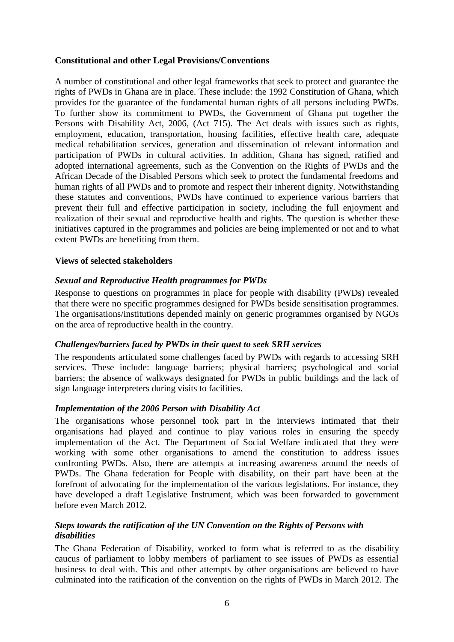# **Constitutional and other Legal Provisions/Conventions**

A number of constitutional and other legal frameworks that seek to protect and guarantee the rights of PWDs in Ghana are in place. These include: the 1992 Constitution of Ghana, which provides for the guarantee of the fundamental human rights of all persons including PWDs. To further show its commitment to PWDs, the Government of Ghana put together the Persons with Disability Act, 2006, (Act 715). The Act deals with issues such as rights, employment, education, transportation, housing facilities, effective health care, adequate medical rehabilitation services, generation and dissemination of relevant information and participation of PWDs in cultural activities. In addition, Ghana has signed, ratified and adopted international agreements, such as the Convention on the Rights of PWDs and the African Decade of the Disabled Persons which seek to protect the fundamental freedoms and human rights of all PWDs and to promote and respect their inherent dignity. Notwithstanding these statutes and conventions, PWDs have continued to experience various barriers that prevent their full and effective participation in society, including the full enjoyment and realization of their sexual and reproductive health and rights. The question is whether these initiatives captured in the programmes and policies are being implemented or not and to what extent PWDs are benefiting from them.

# **Views of selected stakeholders**

# *Sexual and Reproductive Health programmes for PWDs*

Response to questions on programmes in place for people with disability (PWDs) revealed that there were no specific programmes designed for PWDs beside sensitisation programmes. The organisations/institutions depended mainly on generic programmes organised by NGOs on the area of reproductive health in the country.

### *Challenges/barriers faced by PWDs in their quest to seek SRH services*

The respondents articulated some challenges faced by PWDs with regards to accessing SRH services. These include: language barriers; physical barriers; psychological and social barriers; the absence of walkways designated for PWDs in public buildings and the lack of sign language interpreters during visits to facilities.

### *Implementation of the 2006 Person with Disability Act*

The organisations whose personnel took part in the interviews intimated that their organisations had played and continue to play various roles in ensuring the speedy implementation of the Act. The Department of Social Welfare indicated that they were working with some other organisations to amend the constitution to address issues confronting PWDs. Also, there are attempts at increasing awareness around the needs of PWDs. The Ghana federation for People with disability, on their part have been at the forefront of advocating for the implementation of the various legislations. For instance, they have developed a draft Legislative Instrument, which was been forwarded to government before even March 2012.

# *Steps towards the ratification of the UN Convention on the Rights of Persons with disabilities*

The Ghana Federation of Disability, worked to form what is referred to as the disability caucus of parliament to lobby members of parliament to see issues of PWDs as essential business to deal with. This and other attempts by other organisations are believed to have culminated into the ratification of the convention on the rights of PWDs in March 2012. The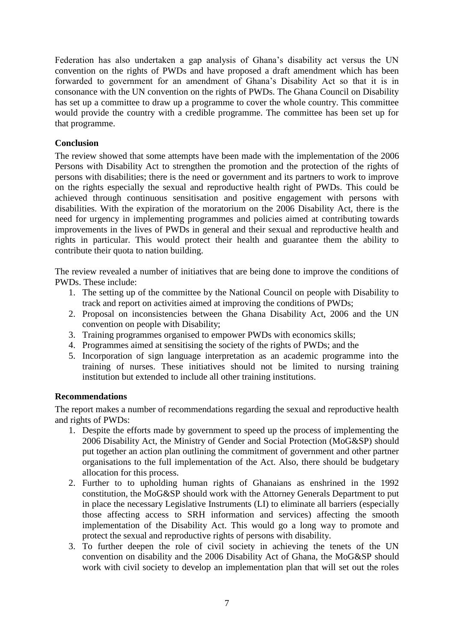Federation has also undertaken a gap analysis of Ghana's disability act versus the UN convention on the rights of PWDs and have proposed a draft amendment which has been forwarded to government for an amendment of Ghana's Disability Act so that it is in consonance with the UN convention on the rights of PWDs. The Ghana Council on Disability has set up a committee to draw up a programme to cover the whole country. This committee would provide the country with a credible programme. The committee has been set up for that programme.

# **Conclusion**

The review showed that some attempts have been made with the implementation of the 2006 Persons with Disability Act to strengthen the promotion and the protection of the rights of persons with disabilities; there is the need or government and its partners to work to improve on the rights especially the sexual and reproductive health right of PWDs. This could be achieved through continuous sensitisation and positive engagement with persons with disabilities. With the expiration of the moratorium on the 2006 Disability Act, there is the need for urgency in implementing programmes and policies aimed at contributing towards improvements in the lives of PWDs in general and their sexual and reproductive health and rights in particular. This would protect their health and guarantee them the ability to contribute their quota to nation building.

The review revealed a number of initiatives that are being done to improve the conditions of PWDs. These include:

- 1. The setting up of the committee by the National Council on people with Disability to track and report on activities aimed at improving the conditions of PWDs;
- 2. Proposal on inconsistencies between the Ghana Disability Act, 2006 and the UN convention on people with Disability;
- 3. Training programmes organised to empower PWDs with economics skills;
- 4. Programmes aimed at sensitising the society of the rights of PWDs; and the
- 5. Incorporation of sign language interpretation as an academic programme into the training of nurses. These initiatives should not be limited to nursing training institution but extended to include all other training institutions.

### **Recommendations**

The report makes a number of recommendations regarding the sexual and reproductive health and rights of PWDs:

- 1. Despite the efforts made by government to speed up the process of implementing the 2006 Disability Act, the Ministry of Gender and Social Protection (MoG&SP) should put together an action plan outlining the commitment of government and other partner organisations to the full implementation of the Act. Also, there should be budgetary allocation for this process.
- 2. Further to to upholding human rights of Ghanaians as enshrined in the 1992 constitution, the MoG&SP should work with the Attorney Generals Department to put in place the necessary Legislative Instruments (LI) to eliminate all barriers (especially those affecting access to SRH information and services) affecting the smooth implementation of the Disability Act. This would go a long way to promote and protect the sexual and reproductive rights of persons with disability.
- 3. To further deepen the role of civil society in achieving the tenets of the UN convention on disability and the 2006 Disability Act of Ghana, the MoG&SP should work with civil society to develop an implementation plan that will set out the roles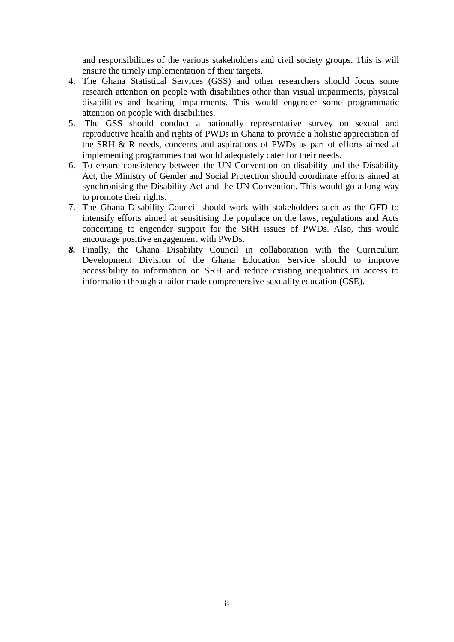and responsibilities of the various stakeholders and civil society groups. This is will ensure the timely implementation of their targets.

- 4. The Ghana Statistical Services (GSS) and other researchers should focus some research attention on people with disabilities other than visual impairments, physical disabilities and hearing impairments. This would engender some programmatic attention on people with disabilities.
- 5. The GSS should conduct a nationally representative survey on sexual and reproductive health and rights of PWDs in Ghana to provide a holistic appreciation of the SRH & R needs, concerns and aspirations of PWDs as part of efforts aimed at implementing programmes that would adequately cater for their needs.
- 6. To ensure consistency between the UN Convention on disability and the Disability Act, the Ministry of Gender and Social Protection should coordinate efforts aimed at synchronising the Disability Act and the UN Convention. This would go a long way to promote their rights.
- 7. The Ghana Disability Council should work with stakeholders such as the GFD to intensify efforts aimed at sensitising the populace on the laws, regulations and Acts concerning to engender support for the SRH issues of PWDs. Also, this would encourage positive engagement with PWDs.
- *8.* Finally, the Ghana Disability Council in collaboration with the Curriculum Development Division of the Ghana Education Service should to improve accessibility to information on SRH and reduce existing inequalities in access to information through a tailor made comprehensive sexuality education (CSE).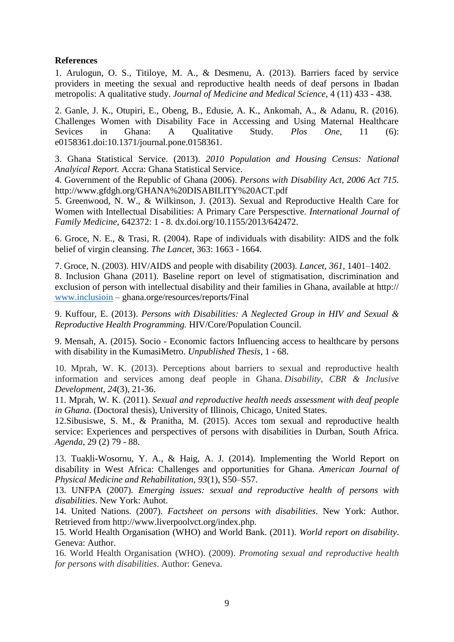# **References**

1. Arulogun, O. S., Titiloye, M. A., & Desmenu, A. (2013). Barriers faced by service providers in meeting the sexual and reproductive health needs of deaf persons in Ibadan metropolis: A qualitative study. *Journal of Medicine and Medical Science*, 4 (11) 433 - 438.

2. Ganle, J. K., Otupiri, E., Obeng, B., Edusie, A. K., Ankomah, A., & Adanu, R. (2016). Challenges Women with Disability Face in Accessing and Using Maternal Healthcare Sevices in Ghana: A Qualitative Study. *Plos One*, 11 (6): e0158361.doi:10.1371/journal.pone.0158361.

3. Ghana Statistical Service. (2013). *2010 Population and Housing Census: National Analyical Report.* Accra: Ghana Statistical Service.

4. Government of the Republic of Ghana (2006). *Persons with Disability Act, 2006 Act 715.* http://www.gfdgh.org/GHANA%20DISABILITY%20ACT.pdf

5. Greenwood, N. W., & Wilkinson, J. (2013). Sexual and Reproductive Health Care for Women with Intellectual Disabilities: A Primary Care Perspesctive. *International Journal of Family Medicine*, 642372: 1 - 8. dx.doi.org/10.1155/2013/642472.

6. Groce, N. E., & Trasi, R. (2004). Rape of individuals with disability: AIDS and the folk belief of virgin cleansing. *The Lancet*, 363: 1663 - 1664.

7. Groce, N. (2003). HIV/AIDS and people with disability (2003). *Lancet*, *361,* 1401–1402. 8. Inclusion Ghana (2011). Baseline report on level of stigmatisation, discrimination and exclusion of person with intellectual disability and their families in Ghana, available at http:// [www.inclusioin](http://www.inclusioin/) – ghana.orge/resources/reports/Final

9. Kuffour, E. (2013). *Persons with Disabilities: A Neglected Group in HIV and Sexual & Reproductive Health Programming.* HIV/Core/Population Council.

9. Mensah, A. (2015). Socio - Economic factors Influencing access to healthcare by persons with disability in the KumasiMetro. *Unpublished Thesis*, 1 - 68.

10. Mprah, W. K. (2013). Perceptions about barriers to sexual and reproductive health information and services among deaf people in Ghana. *Disability, CBR & Inclusive Development*, *24*(3), 21-36.

11. Mprah, W. K. (2011). *Sexual and reproductive health needs assessment with deaf people in Ghana*. (Doctoral thesis), University of Illinois, Chicago, United States.

12.Sibusiswe, S. M., & Pranitha, M. (2015). Acces tom sexual and reproductive health service: Experiences and perspectives of persons with disabilities in Durban, South Africa. *Agenda*, 29 (2) 79 - 88.

13. Tuakli-Wosornu, Y. A., & Haig, A. J. (2014). Implementing the World Report on disability in West Africa: Challenges and opportunities for Ghana. *American Journal of Physical Medicine and Rehabilitation, 93*(1), S50–S57.

13. UNFPA (2007). *Emerging issues: sexual and reproductive health of persons with disabilities*. New York: Auhot.

14. United Nations. (2007). *Factsheet on persons with disabilities*. New York: Author. Retrieved from http://www.liverpoolvct.org/index.php.

15. World Health Organisation (WHO) and World Bank. (2011). *World report on disability*. Geneva: Author.

16. World Health Organisation (WHO). (2009). *Promoting sexual and reproductive health for persons with disabilities*. Author: Geneva.